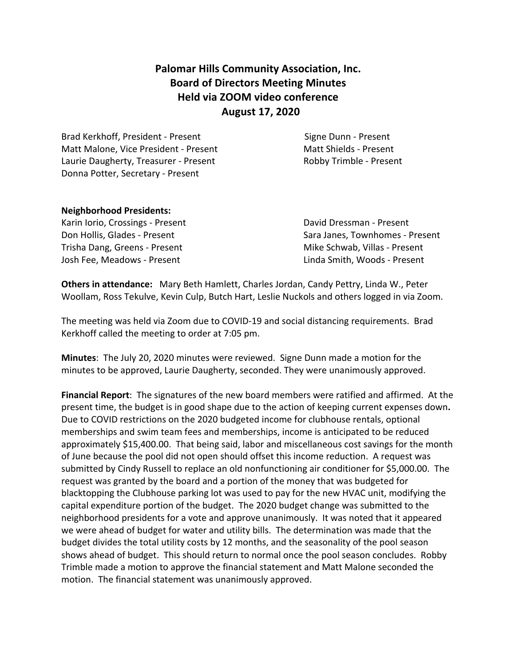# **Palomar Hills Community Association, Inc. Board of Directors Meeting Minutes Held via ZOOM video conference August 17, 2020**

Brad Kerkhoff, President - Present Signe Dunn - Present Matt Malone, Vice President - Present Matt Shields - Present Laurie Daugherty, Treasurer - Present Robby Trimble - Present Donna Potter, Secretary - Present

#### **Neighborhood Presidents:**

Karin Iorio, Crossings - Present **David Dressman - Present** Trisha Dang, Greens - Present Mike Schwab, Villas - Present Josh Fee, Meadows - Present Linda Smith, Woods - Present

Don Hollis, Glades - Present Sara Janes, Townhomes - Present

**Others in attendance:** Mary Beth Hamlett, Charles Jordan, Candy Pettry, Linda W., Peter Woollam, Ross Tekulve, Kevin Culp, Butch Hart, Leslie Nuckols and others logged in via Zoom.

The meeting was held via Zoom due to COVID-19 and social distancing requirements. Brad Kerkhoff called the meeting to order at 7:05 pm.

**Minutes**: The July 20, 2020 minutes were reviewed. Signe Dunn made a motion for the minutes to be approved, Laurie Daugherty, seconded. They were unanimously approved.

**Financial Report**: The signatures of the new board members were ratified and affirmed. At the present time, the budget is in good shape due to the action of keeping current expenses down**.**  Due to COVID restrictions on the 2020 budgeted income for clubhouse rentals, optional memberships and swim team fees and memberships, income is anticipated to be reduced approximately \$15,400.00. That being said, labor and miscellaneous cost savings for the month of June because the pool did not open should offset this income reduction. A request was submitted by Cindy Russell to replace an old nonfunctioning air conditioner for \$5,000.00. The request was granted by the board and a portion of the money that was budgeted for blacktopping the Clubhouse parking lot was used to pay for the new HVAC unit, modifying the capital expenditure portion of the budget. The 2020 budget change was submitted to the neighborhood presidents for a vote and approve unanimously. It was noted that it appeared we were ahead of budget for water and utility bills. The determination was made that the budget divides the total utility costs by 12 months, and the seasonality of the pool season shows ahead of budget. This should return to normal once the pool season concludes. Robby Trimble made a motion to approve the financial statement and Matt Malone seconded the motion. The financial statement was unanimously approved.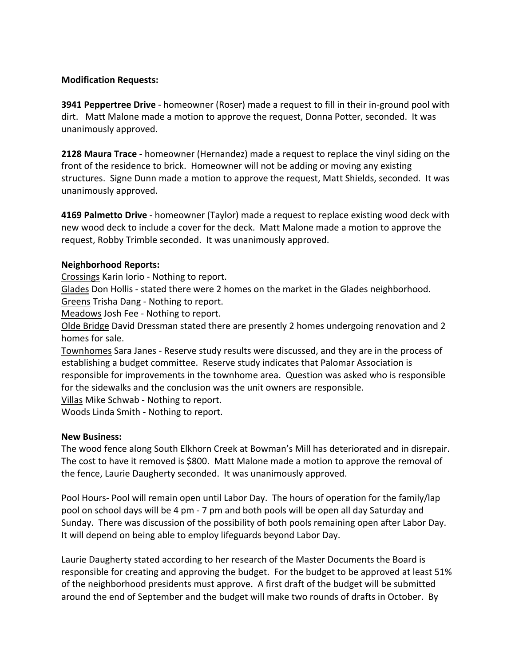#### **Modification Requests:**

**3941 Peppertree Drive** - homeowner (Roser) made a request to fill in their in-ground pool with dirt. Matt Malone made a motion to approve the request, Donna Potter, seconded. It was unanimously approved.

**2128 Maura Trace** - homeowner (Hernandez) made a request to replace the vinyl siding on the front of the residence to brick. Homeowner will not be adding or moving any existing structures. Signe Dunn made a motion to approve the request, Matt Shields, seconded. It was unanimously approved.

**4169 Palmetto Drive** - homeowner (Taylor) made a request to replace existing wood deck with new wood deck to include a cover for the deck. Matt Malone made a motion to approve the request, Robby Trimble seconded. It was unanimously approved.

# **Neighborhood Reports:**

Crossings Karin Iorio - Nothing to report.

Glades Don Hollis - stated there were 2 homes on the market in the Glades neighborhood. Greens Trisha Dang - Nothing to report.

Meadows Josh Fee - Nothing to report.

Olde Bridge David Dressman stated there are presently 2 homes undergoing renovation and 2 homes for sale.

Townhomes Sara Janes - Reserve study results were discussed, and they are in the process of establishing a budget committee. Reserve study indicates that Palomar Association is responsible for improvements in the townhome area. Question was asked who is responsible for the sidewalks and the conclusion was the unit owners are responsible.

Villas Mike Schwab - Nothing to report.

Woods Linda Smith - Nothing to report.

# **New Business:**

The wood fence along South Elkhorn Creek at Bowman's Mill has deteriorated and in disrepair. The cost to have it removed is \$800. Matt Malone made a motion to approve the removal of the fence, Laurie Daugherty seconded. It was unanimously approved.

Pool Hours- Pool will remain open until Labor Day. The hours of operation for the family/lap pool on school days will be 4 pm - 7 pm and both pools will be open all day Saturday and Sunday. There was discussion of the possibility of both pools remaining open after Labor Day. It will depend on being able to employ lifeguards beyond Labor Day.

Laurie Daugherty stated according to her research of the Master Documents the Board is responsible for creating and approving the budget. For the budget to be approved at least 51% of the neighborhood presidents must approve. A first draft of the budget will be submitted around the end of September and the budget will make two rounds of drafts in October. By